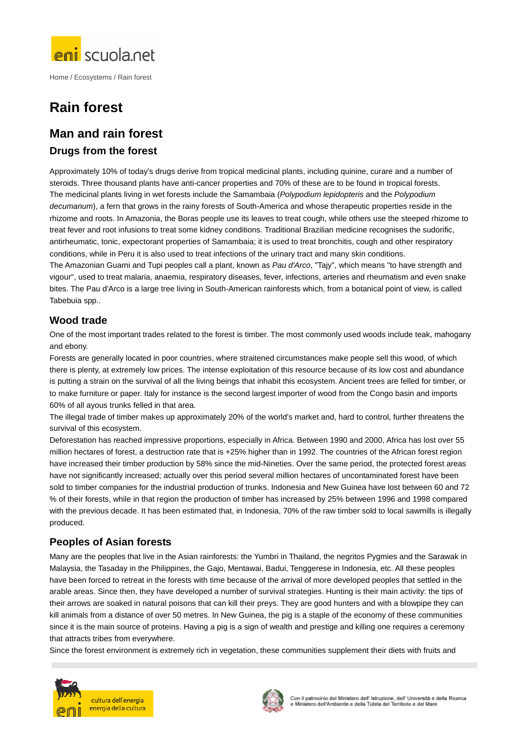

Home / Ecosystems / Rain forest

# **Rain forest**

# **Man and rain forest**

#### **Drugs from the forest**

Approximately 10% of today's drugs derive from tropical medicinal plants, including quinine, curare and a number of steroids. Three thousand plants have anti-cancer properties and 70% of these are to be found in tropical forests. The medicinal plants living in wet forests include the Samambaia (Polypodium lepidopteris and the Polypodium decumanum), a fern that grows in the rainy forests of South-America and whose therapeutic properties reside in the rhizome and roots. In Amazonia, the Boras people use its leaves to treat cough, while others use the steeped rhizome to treat fever and root infusions to treat some kidney conditions. Traditional Brazilian medicine recognises the sudorific, antirheumatic, tonic, expectorant properties of Samambaia; it is used to treat bronchitis, cough and other respiratory conditions, while in Peru it is also used to treat infections of the urinary tract and many skin conditions.

The Amazonian Guarni and Tupi peoples call a plant, known as Pau d'Arco, "Tajy", which means "to have strength and vigour", used to treat malaria, anaemia, respiratory diseases, fever, infections, arteries and rheumatism and even snake bites. The Pau d'Arco is a large tree living in South-American rainforests which, from a botanical point of view, is called Tabebuia spp..

#### **Wood trade**

One of the most important trades related to the forest is timber. The most commonly used woods include teak, mahogany and ebony.

Forests are generally located in poor countries, where straitened circumstances make people sell this wood, of which there is plenty, at extremely low prices. The intense exploitation of this resource because of its low cost and abundance is putting a strain on the survival of all the living beings that inhabit this ecosystem. Ancient trees are felled for timber, or to make furniture or paper. Italy for instance is the second largest importer of wood from the Congo basin and imports 60% of all ayous trunks felled in that area.

The illegal trade of timber makes up approximately 20% of the world's market and, hard to control, further threatens the survival of this ecosystem.

Deforestation has reached impressive proportions, especially in Africa. Between 1990 and 2000, Africa has lost over 55 million hectares of forest, a destruction rate that is +25% higher than in 1992. The countries of the African forest region have increased their timber production by 58% since the mid-Nineties. Over the same period, the protected forest areas have not significantly increased; actually over this period several million hectares of uncontaminated forest have been sold to timber companies for the industrial production of trunks. Indonesia and New Guinea have lost between 60 and 72 % of their forests, while in that region the production of timber has increased by 25% between 1996 and 1998 compared with the previous decade. It has been estimated that, in Indonesia, 70% of the raw timber sold to local sawmills is illegally produced.

#### **Peoples of Asian forests**

Many are the peoples that live in the Asian rainforests: the Yumbri in Thailand, the negritos Pygmies and the Sarawak in Malaysia, the Tasaday in the Philippines, the Gajo, Mentawai, Badui, Tenggerese in Indonesia, etc. All these peoples have been forced to retreat in the forests with time because of the arrival of more developed peoples that settled in the arable areas. Since then, they have developed a number of survival strategies. Hunting is their main activity: the tips of their arrows are soaked in natural poisons that can kill their preys. They are good hunters and with a blowpipe they can kill animals from a distance of over 50 metres. In New Guinea, the pig is a staple of the economy of these communities since it is the main source of proteins. Having a pig is a sign of wealth and prestige and killing one requires a ceremony that attracts tribes from everywhere.

Since the forest environment is extremely rich in vegetation, these communities supplement their diets with fruits and



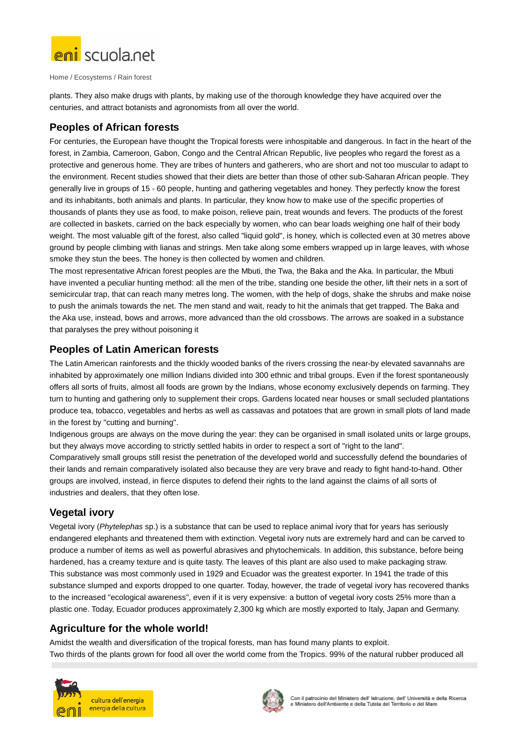

Home / Ecosystems / Rain forest

plants. They also make drugs with plants, by making use of the thorough knowledge they have acquired over the centuries, and attract botanists and agronomists from all over the world.

### **Peoples of African forests**

For centuries, the European have thought the Tropical forests were inhospitable and dangerous. In fact in the heart of the forest, in Zambia, Cameroon, Gabon, Congo and the Central African Republic, live peoples who regard the forest as a protective and generous home. They are tribes of hunters and gatherers, who are short and not too muscular to adapt to the environment. Recent studies showed that their diets are better than those of other sub-Saharan African people. They generally live in groups of 15 - 60 people, hunting and gathering vegetables and honey. They perfectly know the forest and its inhabitants, both animals and plants. In particular, they know how to make use of the specific properties of thousands of plants they use as food, to make poison, relieve pain, treat wounds and fevers. The products of the forest are collected in baskets, carried on the back especially by women, who can bear loads weighing one half of their body weight. The most valuable gift of the forest, also called "liquid gold", is honey, which is collected even at 30 metres above ground by people climbing with lianas and strings. Men take along some embers wrapped up in large leaves, with whose smoke they stun the bees. The honey is then collected by women and children.

The most representative African forest peoples are the Mbuti, the Twa, the Baka and the Aka. In particular, the Mbuti have invented a peculiar hunting method: all the men of the tribe, standing one beside the other, lift their nets in a sort of semicircular trap, that can reach many metres long. The women, with the help of dogs, shake the shrubs and make noise to push the animals towards the net. The men stand and wait, ready to hit the animals that get trapped. The Baka and the Aka use, instead, bows and arrows, more advanced than the old crossbows. The arrows are soaked in a substance that paralyses the prey without poisoning it

#### **Peoples of Latin American forests**

The Latin American rainforests and the thickly wooded banks of the rivers crossing the near-by elevated savannahs are inhabited by approximately one million Indians divided into 300 ethnic and tribal groups. Even if the forest spontaneously offers all sorts of fruits, almost all foods are grown by the Indians, whose economy exclusively depends on farming. They turn to hunting and gathering only to supplement their crops. Gardens located near houses or small secluded plantations produce tea, tobacco, vegetables and herbs as well as cassavas and potatoes that are grown in small plots of land made in the forest by "cutting and burning".

Indigenous groups are always on the move during the year: they can be organised in small isolated units or large groups, but they always move according to strictly settled habits in order to respect a sort of "right to the land". Comparatively small groups still resist the penetration of the developed world and successfully defend the boundaries of their lands and remain comparatively isolated also because they are very brave and ready to fight hand-to-hand. Other groups are involved, instead, in fierce disputes to defend their rights to the land against the claims of all sorts of industries and dealers, that they often lose.

## **Vegetal ivory**

Vegetal ivory (Phytelephas sp.) is a substance that can be used to replace animal ivory that for years has seriously endangered elephants and threatened them with extinction. Vegetal ivory nuts are extremely hard and can be carved to produce a number of items as well as powerful abrasives and phytochemicals. In addition, this substance, before being hardened, has a creamy texture and is quite tasty. The leaves of this plant are also used to make packaging straw. This substance was most commonly used in 1929 and Ecuador was the greatest exporter. In 1941 the trade of this substance slumped and exports dropped to one quarter. Today, however, the trade of vegetal ivory has recovered thanks to the increased "ecological awareness", even if it is very expensive: a button of vegetal ivory costs 25% more than a plastic one. Today, Ecuador produces approximately 2,300 kg which are mostly exported to Italy, Japan and Germany.

#### **Agriculture for the whole world!**

Amidst the wealth and diversification of the tropical forests, man has found many plants to exploit. Two thirds of the plants grown for food all over the world come from the Tropics. 99% of the natural rubber produced all